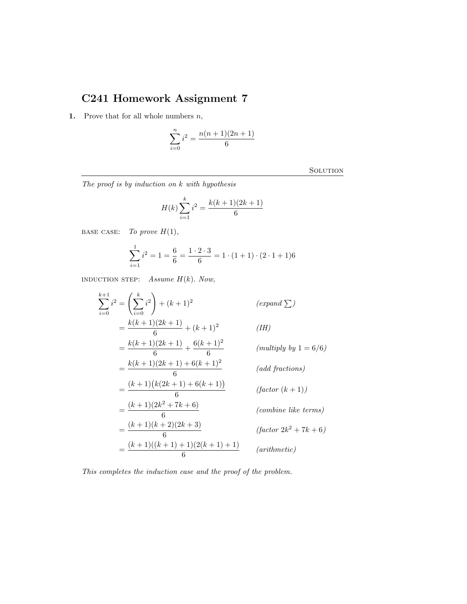## C241 Homework Assignment 7

1. Prove that for all whole numbers  $n$ ,

$$
\sum_{i=0}^{n} i^2 = \frac{n(n+1)(2n+1)}{6}
$$

**SOLUTION** 

The proof is by induction on k with hypothesis

$$
H(k)\sum_{i=1}^{k} i^2 = \frac{k(k+1)(2k+1)}{6}
$$

BASE CASE: To prove  $H(1)$ ,

$$
\sum_{i=1}^{1} i^2 = 1 = \frac{6}{6} = \frac{1 \cdot 2 \cdot 3}{6} = 1 \cdot (1+1) \cdot (2 \cdot 1 + 1)6
$$

INDUCTION STEP: Assume  $H(k)$ . Now,

$$
\sum_{i=0}^{k+1} i^2 = \left(\sum_{i=0}^k i^2\right) + (k+1)^2 \qquad (expand \sum)
$$
  
=  $\frac{k(k+1)(2k+1)}{6} + (k+1)^2$  (IH)  
=  $\frac{k(k+1)(2k+1)}{6} + \frac{6(k+1)^2}{6}$  (multiply by 1 = 6/6)  
=  $\frac{k(k+1)(2k+1) + 6(k+1)^2}{6}$  (add fractions)  
=  $\frac{(k+1)(k(2k+1) + 6(k+1))}{6}$  (factor (k + 1))  
=  $\frac{(k+1)(2k^2 + 7k + 6)}{6}$  (combine like terms)  
=  $\frac{(k+1)(k+2)(2k+3)}{6}$  (factor 2k<sup>2</sup> + 7k + 6)  
=  $\frac{(k+1)((k+1) + 1)(2(k+1) + 1)}{6}$  (arithmetic)

This completes the induction case and the proof of the problem.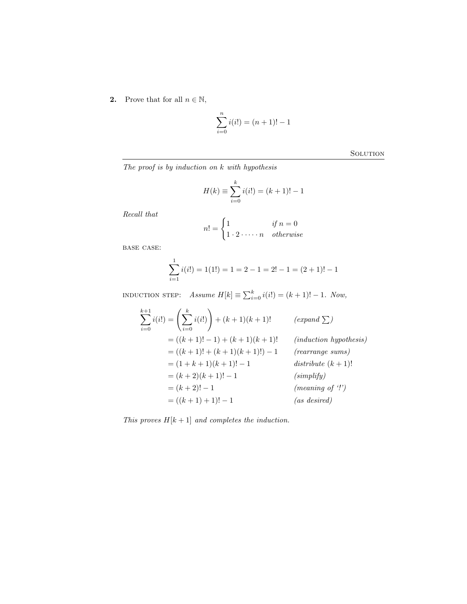2. Prove that for all  $n \in \mathbb{N}$ ,

$$
\sum_{i=0}^{n} i(i!) = (n+1)! - 1
$$

**SOLUTION** 

The proof is by induction on k with hypothesis

$$
H(k) \equiv \sum_{i=0}^{k} i(i!) = (k+1)! - 1
$$

Recall that

$$
n! = \begin{cases} 1 & \text{if } n = 0 \\ 1 \cdot 2 \cdot \dots \cdot n & \text{otherwise} \end{cases}
$$

base case:

$$
\sum_{i=1}^{1} i(i!) = 1(1!) = 1 = 2 - 1 = 2! - 1 = (2 + 1)! - 1
$$

INDUCTION STEP: Assume  $H[k] \equiv \sum_{i=0}^{k} i(i!) = (k+1)! - 1$ . Now,

$$
\sum_{i=0}^{k+1} i(i!) = \left(\sum_{i=0}^{k} i(i!) \right) + (k+1)(k+1)! \qquad (expand \sum)
$$
  
= ((k+1)! - 1) + (k+1)(k+1)! \qquad (induction hypothesis)  
= ((k+1)! + (k+1)(k+1)!) - 1 \qquad (rearrange sums)  
= (1 + k + 1)(k + 1)! - 1 \qquad (simplify)  
= (k+2)(k+1)! - 1 \qquad (simplify)  
= ((k+1) + 1)! - 1 \qquad (as desired)

This proves  $H[k+1]$  and completes the induction.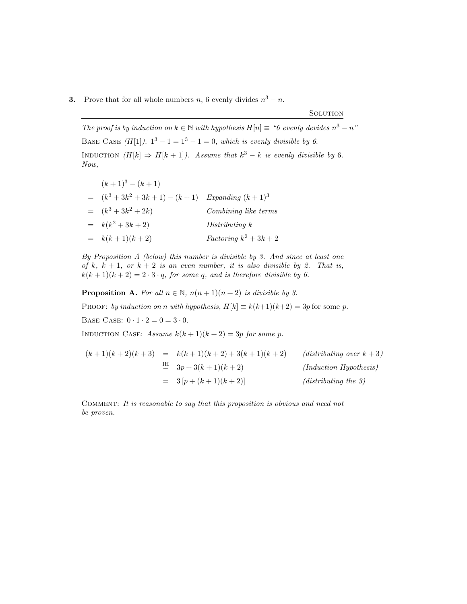## **3.** Prove that for all whole numbers n, 6 evenly divides  $n^3 - n$ .

## **SOLUTION**

The proof is by induction on  $k \in \mathbb{N}$  with hypothesis  $H[n] \equiv$  "6 evenly devides  $n^3 - n$ " BASE CASE  $(H[1])$ .  $1^3 - 1 = 1^3 - 1 = 0$ , which is evenly divisible by 6. INDUCTION  $(H[k] \Rightarrow H[k+1])$ . Assume that  $k^3 - k$  is evenly divisible by 6. Now,

| $(k+1)^3 - (k+1)$               |                          |
|---------------------------------|--------------------------|
| $(k^3 + 3k^2 + 3k + 1) - (k+1)$ | Expanding $(k+1)^3$      |
| $= (k^3 + 3k^2 + 2k)$           | Combining like terms     |
| $= k(k^2+3k+2)$                 | Distributing k           |
| $= k(k+1)(k+2)$                 | Factoring $k^2 + 3k + 2$ |

By Proposition A (below) this number is divisible by 3. And since at least one of k,  $k + 1$ , or  $k + 2$  is an even number, it is also divisible by 2. That is,  $k(k+1)(k+2) = 2 \cdot 3 \cdot q$ , for some q, and is therefore divisible by 6.

**Proposition A.** For all  $n \in \mathbb{N}$ ,  $n(n+1)(n+2)$  is divisible by 3.

PROOF: by induction on n with hypothesis,  $H[k] \equiv k(k+1)(k+2) = 3p$  for some p. BASE CASE:  $0 \cdot 1 \cdot 2 = 0 = 3 \cdot 0$ .

INDUCTION CASE: Assume  $k(k + 1)(k + 2) = 3p$  for some p.

$$
(k+1)(k+2)(k+3) = k(k+1)(k+2) + 3(k+1)(k+2)
$$
 (distributing over  $k+3$ )  
\n
$$
\stackrel{\text{IH}}{=} 3p+3(k+1)(k+2)
$$
 (Induction Hypothesis)  
\n
$$
= 3[p+(k+1)(k+2)]
$$
 (distributing the 3)

Comment: It is reasonable to say that this proposition is obvious and need not be proven.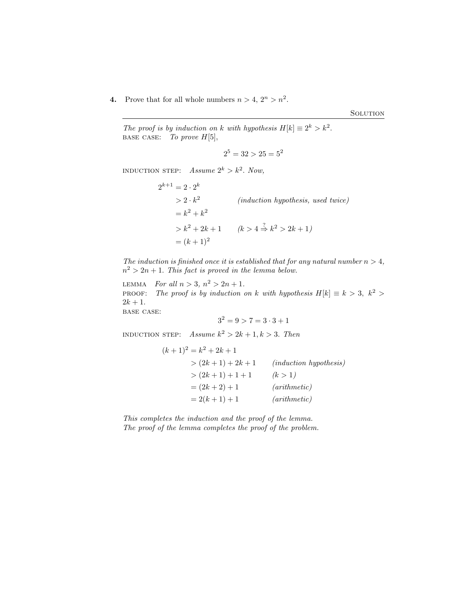**4.** Prove that for all whole numbers  $n > 4$ ,  $2^n > n^2$ .

**SOLUTION** 

The proof is by induction on k with hypothesis  $H[k] \equiv 2^k > k^2$ . BASE CASE: To prove  $H[5]$ ,

$$
2^5 = 32 > 25 = 5^2
$$

INDUCTION STEP: Assume  $2^k > k^2$ . Now,

 $2^{k+1} = 2 \cdot 2^k$  $> 2 \cdot k^2$ (induction hypothesis, used twice)  $= k^2 + k^2$  $> k^2 + 2k + 1$   $(k > 4 \stackrel{?}{\Rightarrow} k^2 > 2k + 1)$  $=(k+1)^2$ 

The induction is finished once it is established that for any natural number  $n > 4$ ,  $n^2 > 2n + 1$ . This fact is proved in the lemma below.

LEMMA For all  $n > 3$ ,  $n^2 > 2n + 1$ . **PROOF:** The proof is by induction on k with hypothesis  $H[k] \equiv k > 3$ ,  $k^2 >$  $2k + 1$ . base case:

$$
3^2 = 9 > 7 = 3 \cdot 3 + 1
$$

INDUCTION STEP:  $Assume k^2 > 2k + 1, k > 3$ . Then

$$
(k+1)^2 = k^2 + 2k + 1
$$
  
>  $(2k+1) + 2k + 1$  (induction hypothesis)  
>  $(2k+1) + 1 + 1$  (k > 1)  
=  $(2k+2) + 1$  (arithmetic)  
=  $2(k+1) + 1$  (arithmetic)

This completes the induction and the proof of the lemma. The proof of the lemma completes the proof of the problem.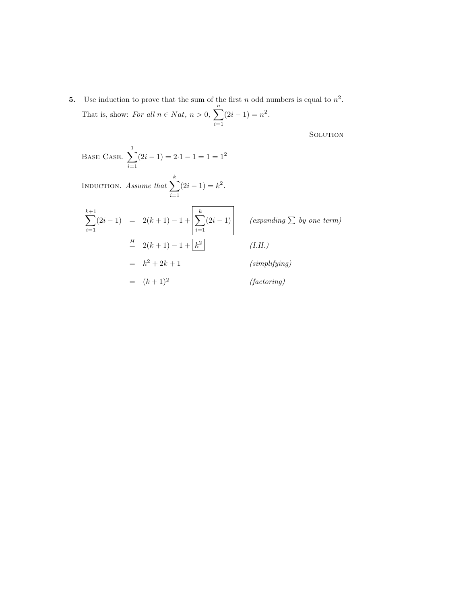**5.** Use induction to prove that the sum of the first n odd numbers is equal to  $n^2$ . That is, show: For all  $n \in Nat$ ,  $n > 0$ ,  $\sum_{n=1}^{\infty}$  $i=1$  $(2i-1) = n^2$ .

SOLUTION

Base Case. 
$$
\sum_{i=1}^{1} (2i - 1) = 2 \cdot 1 - 1 = 1 = 1^{2}
$$

\nINDUCTION. Assume that 
$$
\sum_{i=1}^{k} (2i - 1) = k^{2}
$$
.

\n
$$
\sum_{i=1}^{k+1} (2i - 1) = 2(k + 1) - 1 + \left[ \sum_{i=1}^{k} (2i - 1) \right]
$$
 (expanding  $\sum$  by one term)\n
$$
\stackrel{H}{=} 2(k + 1) - 1 + \left[ \sum_{i=1}^{k} (2i - 1) \right]
$$
 (f. H.)\n
$$
= k^{2} + 2k + 1
$$
 (simplifying)\n
$$
= (k + 1)^{2}
$$
 (factoring)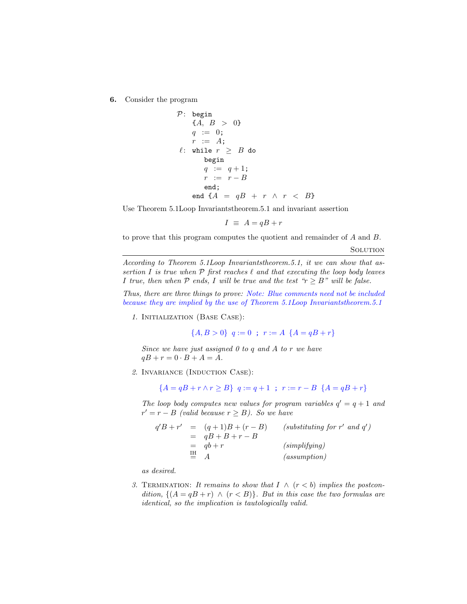6. Consider the program

$$
\begin{array}{lll} \mathcal{P}: \begin{array}{l} \text{begin} \\ \end{array} & \{A, \ B > \ 0\} \\ & q \ := \ 0; \\ & r \ := \ A; \\ & \ell: \ \text{while} \ \ r \ \geq \ B \ \text{do} \\ & \text{begin} \\ q \ := \ q+1; \\ & r \ := \ r-B \\ & \text{end}; \\ & \text{end} \ \{A} = qB \ + \ r \ \wedge \ r \ < \ B \} \end{array}
$$

Use Theorem 5.1Loop Invariantstheorem.5.1 and invariant assertion

$$
I \equiv A = qB + r
$$

to prove that this program computes the quotient and remainder of A and B.

**SOLUTION** 

According to Theorem 5.1Loop Invariantstheorem.5.1, it we can show that assertion I is true when  $P$  first reaches  $\ell$  and that executing the loop body leaves I true, then when  $P$  ends, I will be true and the test " $r \geq B$ " will be false.

Thus, there are three things to prove: Note: Blue comments need not be included because they are implied by the use of Theorem 5.1Loop Invariantstheorem.5.1

1. Initialization (Base Case):

 ${A, B > 0}$   $q := 0$ ;  $r := A \{A = qB + r\}$ 

Since we have just assigned  $0$  to  $q$  and  $A$  to  $r$  we have  $qB + r = 0 \cdot B + A = A$ .

2. Invariance (Induction Case):

$$
\{A = qB + r \land r \ge B\} \quad q := q + 1 \quad ; \quad r := r - B \quad \{A = qB + r\}
$$

The loop body computes new values for program variables  $q' = q + 1$  and  $r' = r - B$  (valid because  $r \geq B$ ). So we have

$$
q'B + r' = (q+1)B + (r-B)
$$
 (substituting for r' and q')  
= qB + B + r - B  
= qb + r (simplifying)  

$$
\equiv A
$$
 (assumption)

as desired.

3. TERMINATION: It remains to show that  $I \wedge (r \leq b)$  implies the postcondition,  $\{(A = qB + r) \land (r < B)\}\$ . But in this case the two formulas are identical, so the implication is tautologically valid.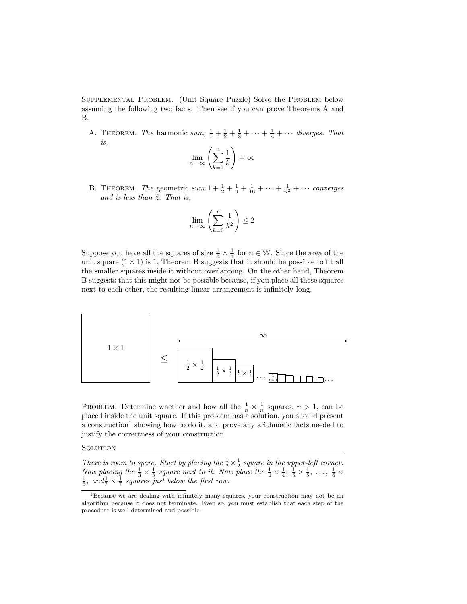Supplemental Problem. (Unit Square Puzzle) Solve the Problem below assuming the following two facts. Then see if you can prove Theorems A and B.

A. THEOREM. The harmonic sum,  $\frac{1}{1} + \frac{1}{2} + \frac{1}{3} + \cdots + \frac{1}{n} + \cdots$  diverges. That is,

$$
\lim_{n \to \infty} \left( \sum_{k=1}^{n} \frac{1}{k} \right) = \infty
$$

B. THEOREM. The geometric sum  $1 + \frac{1}{2} + \frac{1}{9} + \frac{1}{16} + \cdots + \frac{1}{n^2} + \cdots$  converges and is less than 2. That is,

$$
\lim_{n \to \infty} \left( \sum_{k=0}^{n} \frac{1}{k^2} \right) \le 2
$$

Suppose you have all the squares of size  $\frac{1}{n} \times \frac{1}{n}$  for  $n \in \mathbb{W}$ . Since the area of the unit square  $(1 \times 1)$  is 1, Theorem B suggests that it should be possible to fit all the smaller squares inside it without overlapping. On the other hand, Theorem B suggests that this might not be possible because, if you place all these squares next to each other, the resulting linear arrangement is infinitely long.



PROBLEM. Determine whether and how all the  $\frac{1}{n} \times \frac{1}{n}$  squares,  $n > 1$ , can be placed inside the unit square. If this problem has a solution, you should present a construction<sup>1</sup> showing how to do it, and prove any arithmetic facts needed to justify the correctness of your construction.

## **SOLUTION**

There is room to spare. Start by placing the  $\frac{1}{2} \times \frac{1}{2}$  square in the upper-left corner. Now placing the  $\frac{1}{3} \times \frac{1}{3}$  square next to it. Now place the  $\frac{1}{4} \times \frac{1}{4}$ ,  $\frac{1}{5} \times \frac{1}{5}$ , ...,  $\frac{1}{6} \times \frac{1}{6}$ , and  $\frac{1}{7} \times \frac{1}{7}$  squares just below the first row.

<sup>1</sup>Because we are dealing with infinitely many squares, your construction may not be an algorithm because it does not terminate. Even so, you must establish that each step of the procedure is well determined and possible.